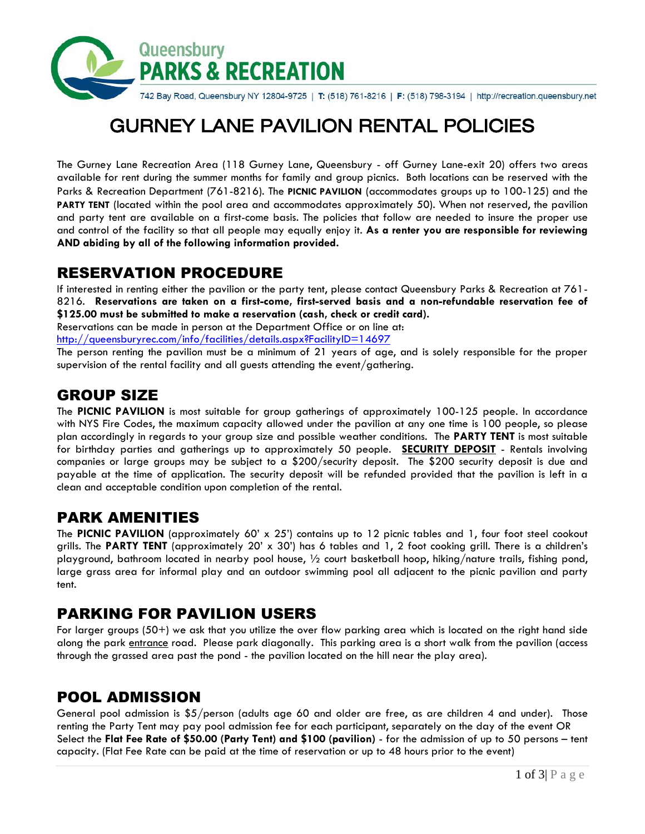

742 Bay Road, Queensbury NY 12804-9725 | T: (518) 761-8216 | F: (518) 798-3194 | http://recreation.queensbury.net

# GURNEY LANE PAVILION RENTAL POLICIES

The Gurney Lane Recreation Area (118 Gurney Lane, Queensbury - off Gurney Lane-exit 20) offers two areas available for rent during the summer months for family and group picnics. Both locations can be reserved with the Parks & Recreation Department (761-8216). The **PICNIC PAVILION** (accommodates groups up to 100-125) and the **PARTY TENT** (located within the pool area and accommodates approximately 50). When not reserved, the pavilion and party tent are available on a first-come basis. The policies that follow are needed to insure the proper use and control of the facility so that all people may equally enjoy it. **As a renter you are responsible for reviewing AND abiding by all of the following information provided.**

## RESERVATION PROCEDURE

If interested in renting either the pavilion or the party tent, please contact Queensbury Parks & Recreation at 761- 8216. **Reservations are taken on a first-come, first-served basis and a non-refundable reservation fee of \$125.00 must be submitted to make a reservation (cash, check or credit card).**

Reservations can be made in person at the Department Office or on line at:

<http://queensburyrec.com/info/facilities/details.aspx?FacilityID=14697>

The person renting the pavilion must be a minimum of 21 years of age, and is solely responsible for the proper supervision of the rental facility and all guests attending the event/gathering.

# GROUP SIZE

The **PICNIC PAVILION** is most suitable for group gatherings of approximately 100-125 people. In accordance with NYS Fire Codes, the maximum capacity allowed under the pavilion at any one time is 100 people, so please plan accordingly in regards to your group size and possible weather conditions. The **PARTY TENT** is most suitable for birthday parties and gatherings up to approximately 50 people. **SECURITY DEPOSIT** - Rentals involving companies or large groups may be subject to a \$200/security deposit. The \$200 security deposit is due and payable at the time of application. The security deposit will be refunded provided that the pavilion is left in a clean and acceptable condition upon completion of the rental.

### PARK AMENITIES

The **PICNIC PAVILION** (approximately 60' x 25') contains up to 12 picnic tables and 1, four foot steel cookout grills. The **PARTY TENT** (approximately 20' x 30') has 6 tables and 1, 2 foot cooking grill. There is a children's playground, bathroom located in nearby pool house, ½ court basketball hoop, hiking/nature trails, fishing pond, large grass area for informal play and an outdoor swimming pool all adjacent to the picnic pavilion and party tent.

## PARKING FOR PAVILION USERS

For larger groups (50+) we ask that you utilize the over flow parking area which is located on the right hand side along the park entrance road. Please park diagonally. This parking area is a short walk from the pavilion (access through the grassed area past the pond - the pavilion located on the hill near the play area).

## POOL ADMISSION

General pool admission is \$5/person (adults age 60 and older are free, as are children 4 and under). Those renting the Party Tent may pay pool admission fee for each participant, separately on the day of the event OR Select the **Flat Fee Rate of \$50.00 (Party Tent) and \$100 (pavilion)** - for the admission of up to 50 persons – tent capacity. (Flat Fee Rate can be paid at the time of reservation or up to 48 hours prior to the event)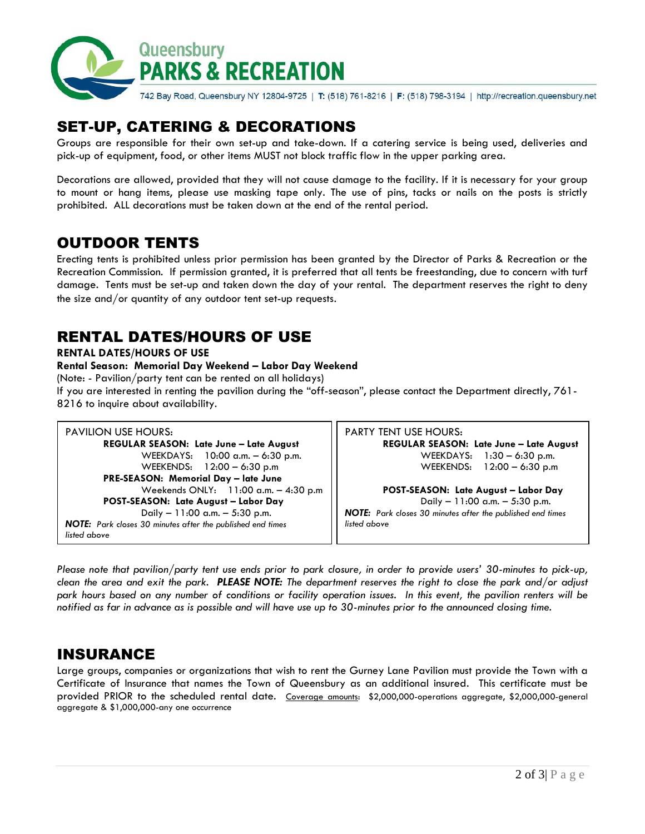

# SET-UP, CATERING & DECORATIONS

Groups are responsible for their own set-up and take-down. If a catering service is being used, deliveries and pick-up of equipment, food, or other items MUST not block traffic flow in the upper parking area.

Decorations are allowed, provided that they will not cause damage to the facility. If it is necessary for your group to mount or hang items, please use masking tape only. The use of pins, tacks or nails on the posts is strictly prohibited. ALL decorations must be taken down at the end of the rental period.

# OUTDOOR TENTS

Erecting tents is prohibited unless prior permission has been granted by the Director of Parks & Recreation or the Recreation Commission. If permission granted, it is preferred that all tents be freestanding, due to concern with turf damage. Tents must be set-up and taken down the day of your rental. The department reserves the right to deny the size and/or quantity of any outdoor tent set-up requests.

# RENTAL DATES/HOURS OF USE

#### **RENTAL DATES/HOURS OF USE**

#### **Rental Season: Memorial Day Weekend – Labor Day Weekend**

(Note: - Pavilion/party tent can be rented on all holidays)

If you are interested in renting the pavilion during the "off-season", please contact the Department directly, 761- 8216 to inquire about availability.

*Please note that pavilion/party tent use ends prior to park closure, in order to provide users' 30-minutes to pick-up, clean the area and exit the park. PLEASE NOTE: The department reserves the right to close the park and/or adjust park hours based on any number of conditions or facility operation issues. In this event, the pavilion renters will be notified as far in advance as is possible and will have use up to 30-minutes prior to the announced closing time.*

### INSURANCE

Large groups, companies or organizations that wish to rent the Gurney Lane Pavilion must provide the Town with a Certificate of Insurance that names the Town of Queensbury as an additional insured. This certificate must be provided PRIOR to the scheduled rental date. Coverage amounts: \$2,000,000-operations aggregate, \$2,000,000-general aggregate & \$1,000,000-any one occurrence